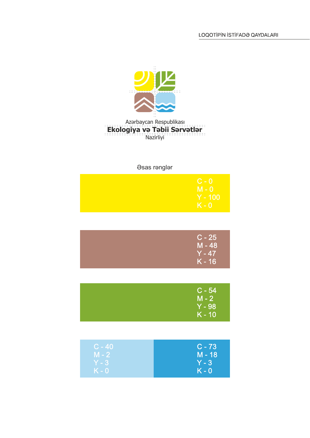

## Azərbaycan Respublikası Nazirliyi **Ekologiya və Təbii Sərvətlər**

## Əsas rənglər

| $C - 0$   |
|-----------|
| $M - 0$   |
| $Y - 100$ |
| $K - 0$   |

| $C - 25$ |
|----------|
| $M - 48$ |
| $Y - 47$ |
| $K - 16$ |

| $C - 54$<br>$M - 2$  |
|----------------------|
| $Y - 98$<br>$K - 10$ |

| $C - 40$ | $C - 73$ |
|----------|----------|
| $M - 2$  | $M - 18$ |
| $Y - 3$  | $Y - 3$  |
| $K - 0$  | $K - 0$  |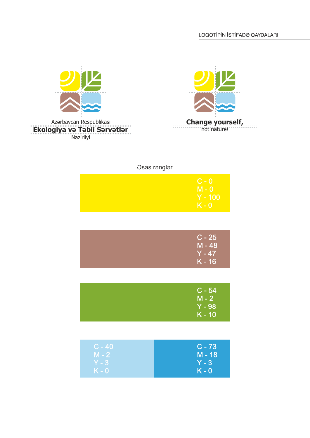

Nazirliyi



## Əsas rənglər

| $C - 0$   |
|-----------|
| $M - 0$   |
| $Y - 100$ |
| $K - 0$   |

| $C - 25$<br>$M - 48$ |
|----------------------|
| $Y - 47$             |
| $K - 16$             |

| $C - 54$<br>$M - 2$ |
|---------------------|
| $Y - 98$            |
| $K - 10$            |

| $ C - 40 $ | $C - 73$ |
|------------|----------|
| $M - 2$    | M - 18   |
| $Y - 3$    | $Y - 3$  |
| $K - 0$    | $K - 0$  |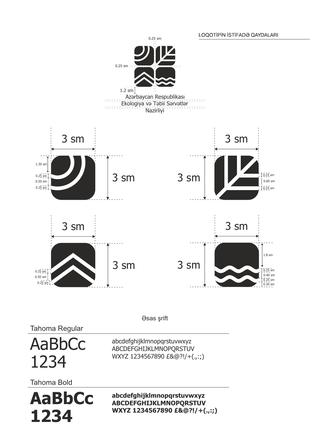